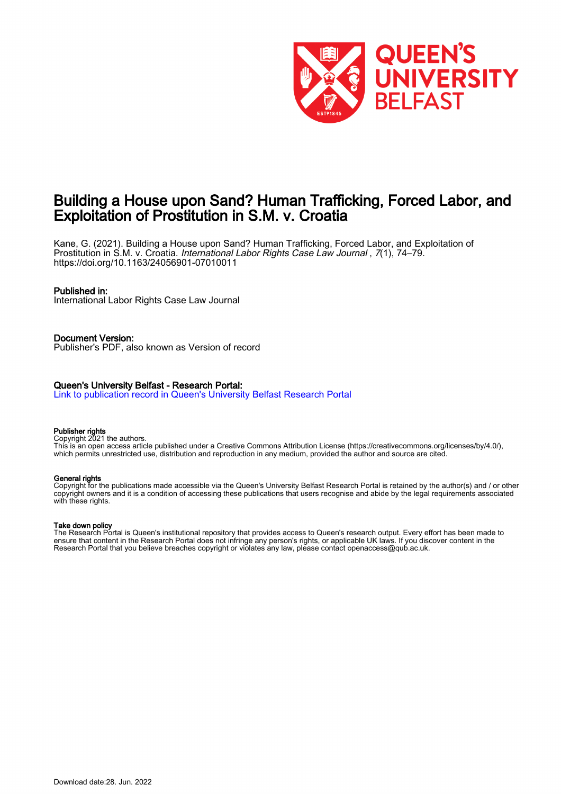

## Building a House upon Sand? Human Trafficking, Forced Labor, and Exploitation of Prostitution in S.M. v. Croatia

Kane, G. (2021). Building a House upon Sand? Human Trafficking, Forced Labor, and Exploitation of Prostitution in S.M. v. Croatia. International Labor Rights Case Law Journal , 7(1), 74–79. <https://doi.org/10.1163/24056901-07010011>

#### Published in:

International Labor Rights Case Law Journal

Document Version: Publisher's PDF, also known as Version of record

#### Queen's University Belfast - Research Portal:

[Link to publication record in Queen's University Belfast Research Portal](https://pure.qub.ac.uk/en/publications/353a0f09-b82e-4d6f-b32a-689a93889df4)

#### Publisher rights

Copyright 2021 the authors.

This is an open access article published under a Creative Commons Attribution License (https://creativecommons.org/licenses/by/4.0/), which permits unrestricted use, distribution and reproduction in any medium, provided the author and source are cited.

#### General rights

Copyright for the publications made accessible via the Queen's University Belfast Research Portal is retained by the author(s) and / or other copyright owners and it is a condition of accessing these publications that users recognise and abide by the legal requirements associated with these rights.

#### Take down policy

The Research Portal is Queen's institutional repository that provides access to Queen's research output. Every effort has been made to ensure that content in the Research Portal does not infringe any person's rights, or applicable UK laws. If you discover content in the Research Portal that you believe breaches copyright or violates any law, please contact openaccess@qub.ac.uk.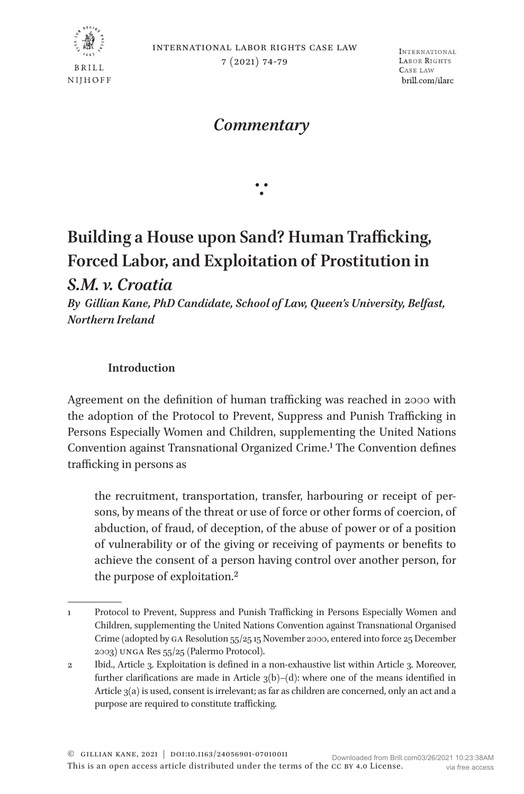

*Commentary*

∵

# **Building a House upon Sand? Human Trafficking, Forced Labor, and Exploitation of Prostitution in**

*S.M. v. Croatia*

*By Gillian Kane, PhD Candidate, School of Law, Queen's University, Belfast, Northern Ireland*

### **Introduction**

Agreement on the definition of human trafficking was reached in 2000 with the adoption of the Protocol to Prevent, Suppress and Punish Trafficking in Persons Especially Women and Children, supplementing the United Nations Convention against Transnational Organized Crime.[1](#page-1-0) The Convention defines trafficking in persons as

the recruitment, transportation, transfer, harbouring or receipt of persons, by means of the threat or use of force or other forms of coercion, of abduction, of fraud, of deception, of the abuse of power or of a position of vulnerability or of the giving or receiving of payments or benefits to achieve the consent of a person having control over another person, for the purpose of exploitation[.2](#page-1-1)

<span id="page-1-0"></span><sup>1</sup> Protocol to Prevent, Suppress and Punish Trafficking in Persons Especially Women and Children, supplementing the United Nations Convention against Transnational Organised Crime (adopted by ga Resolution 55/25 15 November 2000, entered into force 25 December 2003) unga Res 55/25 (Palermo Protocol).

<span id="page-1-1"></span><sup>2</sup> Ibid., Article 3. Exploitation is defined in a non-exhaustive list within Article 3. Moreover, further clarifications are made in Article  $3(b)$ –(d): where one of the means identified in Article 3(a) is used, consent is irrelevant; as far as children are concerned, only an act and a purpose are required to constitute trafficking.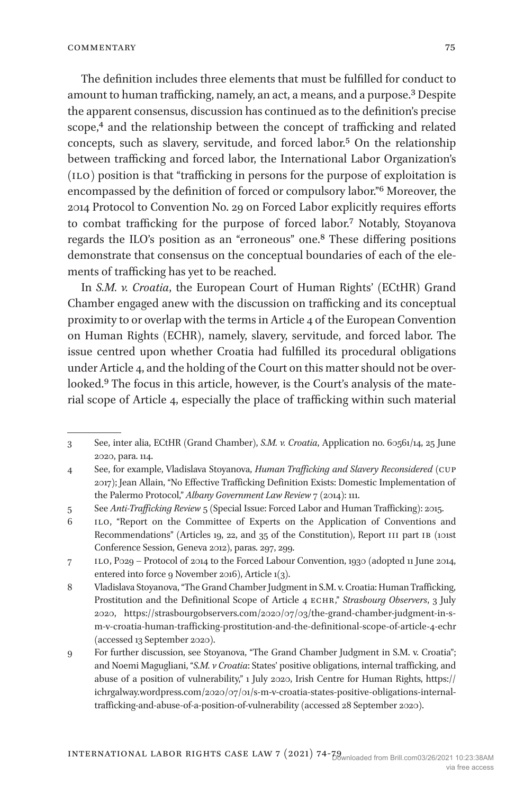The definition includes three elements that must be fulfilled for conduct to amount to human trafficking, namely, an act, a means, and a purpose.<sup>3</sup> Despite the apparent consensus, discussion has continued as to the definition's precise scope,<sup>4</sup> and the relationship between the concept of trafficking and related concepts, such as slavery, servitude, and forced labor.[5](#page-2-2) On the relationship between trafficking and forced labor, the International Labor Organization's (ilo) position is that "trafficking in persons for the purpose of exploitation is encompassed by the definition of forced or compulsory labor.["6](#page-2-3) Moreover, the 2014 Protocol to Convention No. 29 on Forced Labor explicitly requires efforts to combat trafficking for the purpose of forced labor[.7](#page-2-4) Notably, Stoyanova regards the ILO's position as an "erroneous" one.[8](#page-2-5) These differing positions demonstrate that consensus on the conceptual boundaries of each of the elements of trafficking has yet to be reached.

In *[S.M. v. Croatia](http://hudoc.echr.coe.int/eng?i=001-203503)*, the European Court of Human Rights' (ECtHR) Grand Chamber engaged anew with the discussion on trafficking and its conceptual proximity to or overlap with the terms in Article 4 of the European Convention on Human Rights (ECHR), namely, slavery, servitude, and forced labor. The issue centred upon whether Croatia had fulfilled its procedural obligations under Article 4, and the holding of the Court on this matter should not be overlooked[.9](#page-2-6) The focus in this article, however, is the Court's analysis of the material scope of Article 4, especially the place of trafficking within such material

<span id="page-2-0"></span><sup>3</sup> See, inter alia, ECtHR (Grand Chamber), *S.M. v. Croatia*, Application no. 60561/14, 25 June 2020, para. 114.

<span id="page-2-1"></span><sup>4</sup> See, for example, Vladislava Stoyanova, *Human Trafficking and Slavery Reconsidered* (cup 2017); Jean Allain, "No Effective Trafficking Definition Exists: Domestic Implementation of the Palermo Protocol," *Albany Government Law Review* 7 (2014): 111.

<span id="page-2-2"></span><sup>5</sup> See *Anti-Trafficking Review* 5 (Special Issue: Forced Labor and Human Trafficking): 2015.

<span id="page-2-3"></span><sup>6</sup> ilo, "Report on the Committee of Experts on the Application of Conventions and Recommendations" (Articles 19, 22, and 35 of the Constitution), Report III part IB (101st) Conference Session, Geneva 2012), paras. 297, 299.

<span id="page-2-4"></span><sup>7</sup> ilo, P029 – Protocol of 2014 to the Forced Labour Convention, 1930 (adopted 11 June 2014, entered into force 9 November 2016), Article 1(3).

<span id="page-2-5"></span><sup>8</sup> Vladislava Stoyanova, "The Grand Chamber Judgment in S.M. v. Croatia: Human Trafficking, Prostitution and the Definitional Scope of Article 4 ECHR," *Strasbourg Observers*, 3 July 2020, [https://strasbourgobservers.com/2020/07/03/the-grand-chamber-judgment-in-s](https://strasbourgobservers.com/2020/07/03/the-grand-chamber-judgment-in-s-m-v-croatia-human-trafficking-prostitution-and-the-definitional-scope-of-article-4-echr)[m-v-croatia-human-trafficking-prostitution-and-the-definitional-scope-of-article-4-echr](https://strasbourgobservers.com/2020/07/03/the-grand-chamber-judgment-in-s-m-v-croatia-human-trafficking-prostitution-and-the-definitional-scope-of-article-4-echr)  (accessed 13 September 2020).

<span id="page-2-6"></span><sup>9</sup> For further discussion, see Stoyanova, "The Grand Chamber Judgment in S.M. v. Croatia"; and Noemi Magugliani, "*S.M. v Croatia*: States' positive obligations, internal trafficking, and abuse of a position of vulnerability," 1 July 2020, Irish Centre for Human Rights, [https://](https://ichrgalway.wordpress.com/2020/07/01/s-m-v-croatia-states-positive-obligations-internal-trafficking-and-abuse-of-a-position-of-vulnerability) [ichrgalway.wordpress.com/2020/07/01/s-m-v-croatia-states-positive-obligations-internal](https://ichrgalway.wordpress.com/2020/07/01/s-m-v-croatia-states-positive-obligations-internal-trafficking-and-abuse-of-a-position-of-vulnerability)[trafficking-and-abuse-of-a-position-of-vulnerability](https://ichrgalway.wordpress.com/2020/07/01/s-m-v-croatia-states-positive-obligations-internal-trafficking-and-abuse-of-a-position-of-vulnerability) (accessed 28 September 2020).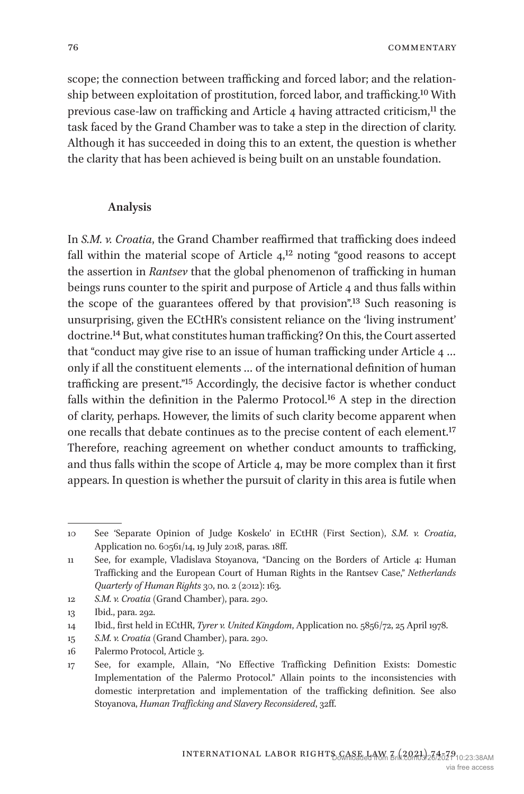**COMMENTARY** 

scope; the connection between trafficking and forced labor; and the relationship between exploitation of prostitution, forced labor, and trafficking.[10](#page-3-0) With previous case-law on trafficking and Article 4 having attracted criticism,<sup>[11](#page-3-1)</sup> the task faced by the Grand Chamber was to take a step in the direction of clarity. Although it has succeeded in doing this to an extent, the question is whether the clarity that has been achieved is being built on an unstable foundation.

#### **Analysis**

In *[S.M. v. Croatia](http://hudoc.echr.coe.int/eng?i=001-203503)*, the Grand Chamber reaffirmed that trafficking does indeed fall within the material scope of Article  $4^{12}$  noting "good reasons to accept" the assertion in *[Rantsev](http://hudoc.echr.coe.int/eng?i=001-96549)* that the global phenomenon of trafficking in human beings runs counter to the spirit and purpose of Article 4 and thus falls within the scope of the guarantees offered by that provision".[13](#page-3-3) Such reasoning is unsurprising, given the ECtHR's consistent reliance on the 'living instrument' doctrine.[14](#page-3-4) But, what constitutes human trafficking? On this, the Court asserted that "conduct may give rise to an issue of human trafficking under Article 4 … only if all the constituent elements … of the international definition of human trafficking are present.["15](#page-3-5) Accordingly, the decisive factor is whether conduct falls within the definition in the Palermo Protocol.[16](#page-3-6) A step in the direction of clarity, perhaps. However, the limits of such clarity become apparent when one recalls that debate continues as to the precise content of each element[.17](#page-3-7) Therefore, reaching agreement on whether conduct amounts to trafficking, and thus falls within the scope of Article 4, may be more complex than it first appears. In question is whether the pursuit of clarity in this area is futile when

<span id="page-3-0"></span><sup>10</sup> See 'Separate Opinion of Judge Koskelo' in ECtHR (First Section), *S.M. v. Croatia*, Application no. 60561/14, 19 July 2018, paras. 18ff.

<span id="page-3-1"></span><sup>11</sup> See, for example, Vladislava Stoyanova, "Dancing on the Borders of Article 4: Human Trafficking and the European Court of Human Rights in the Rantsev Case," *Netherlands Quarterly of Human Rights* 30, no. 2 (2012): 163.

<span id="page-3-2"></span><sup>12</sup> *S.M. v. Croatia* (Grand Chamber), para. 290.

<span id="page-3-3"></span><sup>13</sup> Ibid., para. 292.

<span id="page-3-4"></span><sup>14</sup> Ibid., first held in ECtHR, *Tyrer v. United Kingdom*, Application no. 5856/72, 25 April 1978.

<span id="page-3-5"></span><sup>15</sup> *S.M. v. Croatia* (Grand Chamber), para. 290.

<span id="page-3-6"></span><sup>16</sup> Palermo Protocol, Article 3.

<span id="page-3-7"></span><sup>17</sup> See, for example, Allain, "No Effective Trafficking Definition Exists: Domestic Implementation of the Palermo Protocol." Allain points to the inconsistencies with domestic interpretation and implementation of the trafficking definition. See also Stoyanova, *Human Trafficking and Slavery Reconsidered*, 32ff.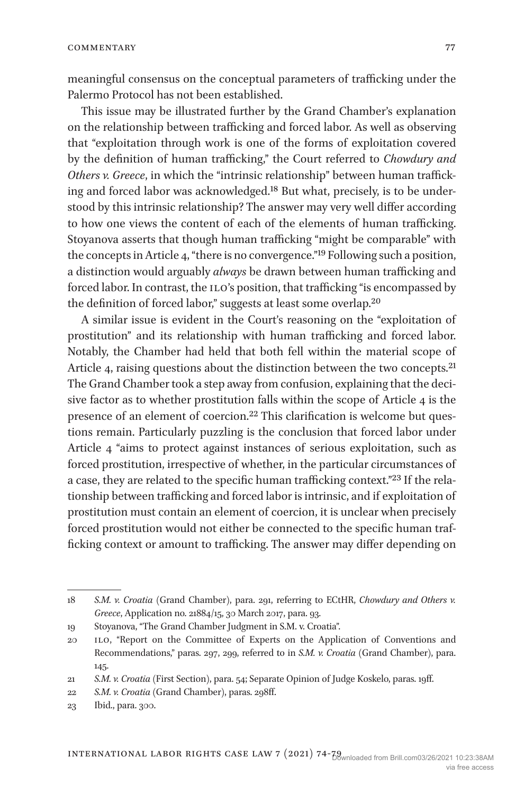meaningful consensus on the conceptual parameters of trafficking under the Palermo Protocol has not been established.

This issue may be illustrated further by the Grand Chamber's explanation on the relationship between trafficking and forced labor. As well as observing that "exploitation through work is one of the forms of exploitation covered by the definition of human trafficking," the Court referred to *[Chowdury and](http://hudoc.echr.coe.int/eng?i=001-172701
)  [Others v. Greece](http://hudoc.echr.coe.int/eng?i=001-172701
)*, in which the "intrinsic relationship" between human trafficking and forced labor was acknowledged.[18](#page-4-0) But what, precisely, is to be understood by this intrinsic relationship? The answer may very well differ according to how one views the content of each of the elements of human trafficking. Stoyanova asserts that though human trafficking "might be comparable" with the concepts in Article 4, "there is no convergence."[19](#page-4-1) Following such a position, a distinction would arguably *always* be drawn between human trafficking and forced labor. In contrast, the ILO's position, that trafficking "is encompassed by the definition of forced labor," suggests at least some overlap[.20](#page-4-2)

A similar issue is evident in the Court's reasoning on the "exploitation of prostitution" and its relationship with human trafficking and forced labor. Notably, the Chamber had held that both fell within the material scope of Article 4, raising questions about the distinction between the two concepts.<sup>21</sup> The Grand Chamber took a step away from confusion, explaining that the decisive factor as to whether prostitution falls within the scope of Article 4 is the presence of an element of coercion.[22](#page-4-4) This clarification is welcome but questions remain. Particularly puzzling is the conclusion that forced labor under Article 4 "aims to protect against instances of serious exploitation, such as forced prostitution, irrespective of whether, in the particular circumstances of a case, they are related to the specific human trafficking context."[23](#page-4-5) If the relationship between trafficking and forced labor is intrinsic, and if exploitation of prostitution must contain an element of coercion, it is unclear when precisely forced prostitution would not either be connected to the specific human trafficking context or amount to trafficking. The answer may differ depending on

<span id="page-4-0"></span><sup>18</sup> *S.M. v. Croatia* (Grand Chamber), para. 291, referring to ECtHR, *Chowdury and Others v. Greece*, Application no. 21884/15, 30 March 2017, para. 93.

<span id="page-4-1"></span><sup>19</sup> Stoyanova, "The Grand Chamber Judgment in S.M. v. Croatia".

<span id="page-4-2"></span><sup>20</sup> ilo, "Report on the Committee of Experts on the Application of Conventions and Recommendations," paras. 297, 299, referred to in *S.M. v. Croatia* (Grand Chamber), para. 145.

<span id="page-4-3"></span><sup>21</sup> *S.M. v. Croatia* (First Section), para. 54; Separate Opinion of Judge Koskelo, paras. 19ff.

<span id="page-4-4"></span><sup>22</sup> *S.M. v. Croatia* (Grand Chamber), paras. 298ff.

<span id="page-4-5"></span><sup>23</sup> Ibid., para. 300.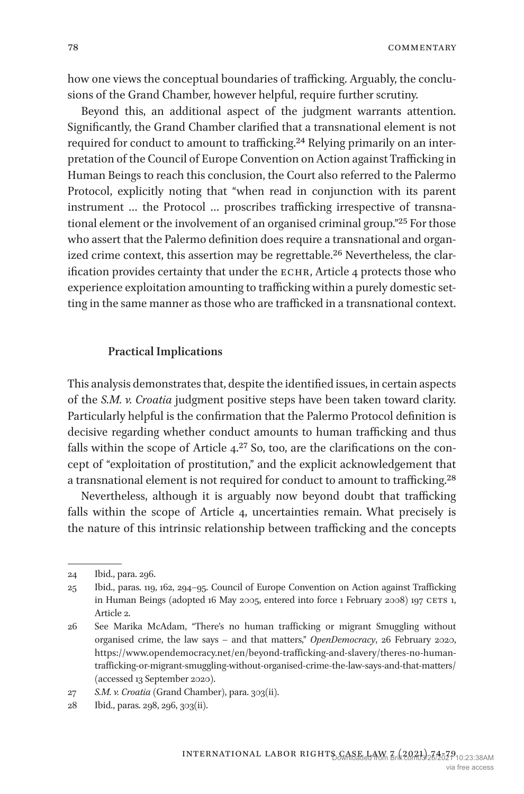**COMMENTARY** 

how one views the conceptual boundaries of trafficking. Arguably, the conclusions of the Grand Chamber, however helpful, require further scrutiny.

Beyond this, an additional aspect of the judgment warrants attention. Significantly, the Grand Chamber clarified that a transnational element is not required for conduct to amount to trafficking.<sup>24</sup> Relying primarily on an interpretation of the Council of Europe Convention on Action against Trafficking in Human Beings to reach this conclusion, the Court also referred to the Palermo Protocol, explicitly noting that "when read in conjunction with its parent instrument … the Protocol … proscribes trafficking irrespective of transnational element or the involvement of an organised criminal group.["25](#page-5-1) For those who assert that the Palermo definition does require a transnational and organized crime context, this assertion may be regrettable.<sup>26</sup> Nevertheless, the clarification provides certainty that under the echr, Article 4 protects those who experience exploitation amounting to trafficking within a purely domestic setting in the same manner as those who are trafficked in a transnational context.

#### **Practical Implications**

This analysis demonstrates that, despite the identified issues, in certain aspects of the *[S.M. v. Croatia](http://hudoc.echr.coe.int/eng?i=001-203503)* judgment positive steps have been taken toward clarity. Particularly helpful is the confirmation that the Palermo Protocol definition is decisive regarding whether conduct amounts to human trafficking and thus falls within the scope of Article  $4.27$  So, too, are the clarifications on the concept of "exploitation of prostitution," and the explicit acknowledgement that a transnational element is not required for conduct to amount to trafficking.[28](#page-5-4)

Nevertheless, although it is arguably now beyond doubt that trafficking falls within the scope of Article 4, uncertainties remain. What precisely is the nature of this intrinsic relationship between trafficking and the concepts

<span id="page-5-0"></span><sup>24</sup> Ibid., para. 296.

<span id="page-5-1"></span><sup>25</sup> Ibid., paras. 119, 162, 294–95. Council of Europe Convention on Action against Trafficking in Human Beings (adopted 16 May 2005, entered into force 1 February 2008) 197 CETS 1, Article 2.

<span id="page-5-2"></span><sup>26</sup> See Marika McAdam, "There's no human trafficking or migrant Smuggling without organised crime, the law says – and that matters," *OpenDemocracy*, 26 February 2020, [https://www.opendemocracy.net/en/beyond-trafficking-and-slavery/theres-no-human](https://www.opendemocracy.net/en/beyond-trafficking-and-slavery/theres-no-human-trafficking-or-migrant-smuggling-without-organised-crime-the-law-says-and-that-matters/)[trafficking-or-migrant-smuggling-without-organised-crime-the-law-says-and-that-matters/](https://www.opendemocracy.net/en/beyond-trafficking-and-slavery/theres-no-human-trafficking-or-migrant-smuggling-without-organised-crime-the-law-says-and-that-matters/)  (accessed 13 September 2020).

<span id="page-5-3"></span><sup>27</sup> *S.M. v. Croatia* (Grand Chamber), para. 303(ii).

<span id="page-5-4"></span><sup>28</sup> Ibid., paras. 298, 296, 303(ii).